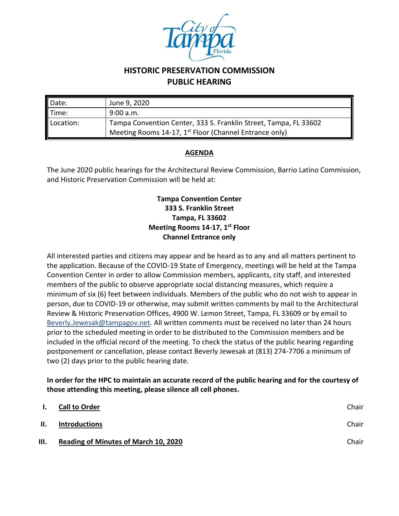

## **HISTORIC PRESERVATION COMMISSION PUBLIC HEARING**

| Date:             | June 9, 2020                                                       |  |
|-------------------|--------------------------------------------------------------------|--|
| $\parallel$ Time: | 9:00 a.m.                                                          |  |
| Location:         | Tampa Convention Center, 333 S. Franklin Street, Tampa, FL 33602   |  |
|                   | Meeting Rooms 14-17, 1 <sup>st</sup> Floor (Channel Entrance only) |  |

## **AGENDA**

The June 2020 public hearings for the Architectural Review Commission, Barrio Latino Commission, and Historic Preservation Commission will be held at:

## **Tampa Convention Center 333 S. Franklin Street Tampa, FL 33602 Meeting Rooms 14-17, 1st Floor Channel Entrance only**

All interested parties and citizens may appear and be heard as to any and all matters pertinent to the application. Because of the COVID-19 State of Emergency, meetings will be held at the Tampa Convention Center in order to allow Commission members, applicants, city staff, and interested members of the public to observe appropriate social distancing measures, which require a minimum of six (6) feet between individuals. Members of the public who do not wish to appear in person, due to COVID-19 or otherwise, may submit written comments by mail to the Architectural Review & Historic Preservation Offices, 4900 W. Lemon Street, Tampa, FL 33609 or by email to [Beverly.Jewesak@tampagov.net.](mailto:Beverly.Jewesak@tampagov.net) All written comments must be received no later than 24 hours prior to the scheduled meeting in order to be distributed to the Commission members and be included in the official record of the meeting. To check the status of the public hearing regarding postponement or cancellation, please contact Beverly Jewesak at (813) 274-7706 a minimum of two (2) days prior to the public hearing date.

## **In order for the HPC to maintain an accurate record of the public hearing and for the courtesy of those attending this meeting, please silence all cell phones.**

| $\mathbf{L}$ | <b>Call to Order</b>                        | Chair |
|--------------|---------------------------------------------|-------|
| II.          | Introductions                               | Chair |
| Ш.           | <b>Reading of Minutes of March 10, 2020</b> | Chair |